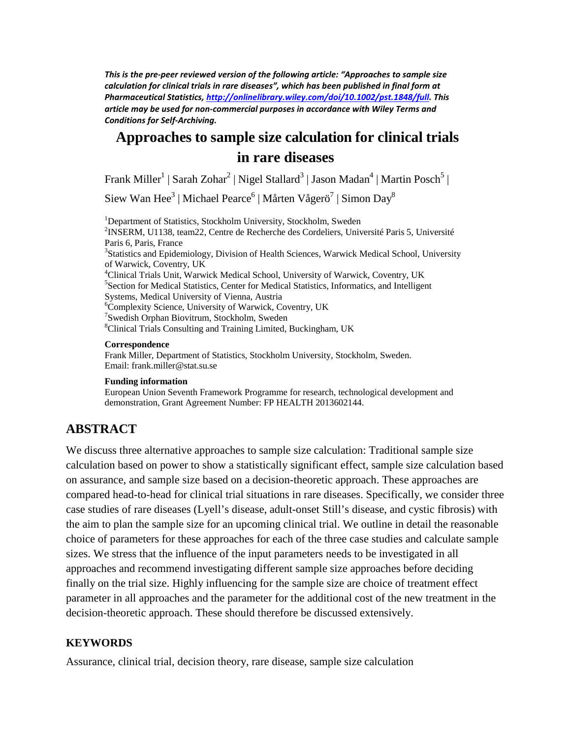*This is the pre-peer reviewed version of the following article: "Approaches to sample size calculation for clinical trials in rare diseases", which has been published in final form at Pharmaceutical Statistics[, http://onlinelibrary.wiley.com/doi/10.1002/pst.1848/full.](http://onlinelibrary.wiley.com/doi/10.1002/pst.1848/full) This article may be used for non-commercial purposes in accordance with Wiley Terms and Conditions for Self-Archiving.*

# **Approaches to sample size calculation for clinical trials in rare diseases**

Frank Miller<sup>1</sup> | Sarah Zohar<sup>2</sup> | Nigel Stallard<sup>3</sup> | Jason Madan<sup>4</sup> | Martin Posch<sup>5</sup> |

Siew Wan Hee<sup>3</sup> | Michael Pearce<sup>6</sup> | Mårten Vågerö<sup>7</sup> | Simon Day<sup>8</sup>

<sup>1</sup>Department of Statistics, Stockholm University, Stockholm, Sweden <sup>2</sup>INSERM 111128, team<sup>22</sup>, Centre de Peebershe des Cordeliers, Univ  $2$ INSERM, U1138, team22, Centre de Recherche des Cordeliers, Université Paris 5, Université Paris 6, Paris, France <sup>3</sup>Statistics and Epidemiology, Division of Health Sciences, Warwick Medical School, University of Warwick, Coventry, UK 4 <sup>4</sup>Clinical Trials Unit, Warwick Medical School, University of Warwick, Coventry, UK <sup>5</sup> Section for Medical Statistics, Center for Medical Statistics, Informatics, and Intelligent Systems, Medical University of Vienna, Austria <sup>6</sup> Complexity Science, University of Warwick, Coventry, UK <sup>7</sup> Swedish Orphan Biovitrum, Stockholm, Sweden<br><sup>8</sup> Clinical Trials Consulting and Training I imited Clinical Trials Consulting and Training Limited, Buckingham, UK

#### **Correspondence**

Frank Miller, Department of Statistics, Stockholm University, Stockholm, Sweden. Email: frank.miller@stat.su.se

#### **Funding information**

European Union Seventh Framework Programme for research, technological development and demonstration, Grant Agreement Number: FP HEALTH 2013602144.

## **ABSTRACT**

We discuss three alternative approaches to sample size calculation: Traditional sample size calculation based on power to show a statistically significant effect, sample size calculation based on assurance, and sample size based on a decision-theoretic approach. These approaches are compared head-to-head for clinical trial situations in rare diseases. Specifically, we consider three case studies of rare diseases (Lyell's disease, adult-onset Still's disease, and cystic fibrosis) with the aim to plan the sample size for an upcoming clinical trial. We outline in detail the reasonable choice of parameters for these approaches for each of the three case studies and calculate sample sizes. We stress that the influence of the input parameters needs to be investigated in all approaches and recommend investigating different sample size approaches before deciding finally on the trial size. Highly influencing for the sample size are choice of treatment effect parameter in all approaches and the parameter for the additional cost of the new treatment in the decision-theoretic approach. These should therefore be discussed extensively.

#### **KEYWORDS**

Assurance, clinical trial, decision theory, rare disease, sample size calculation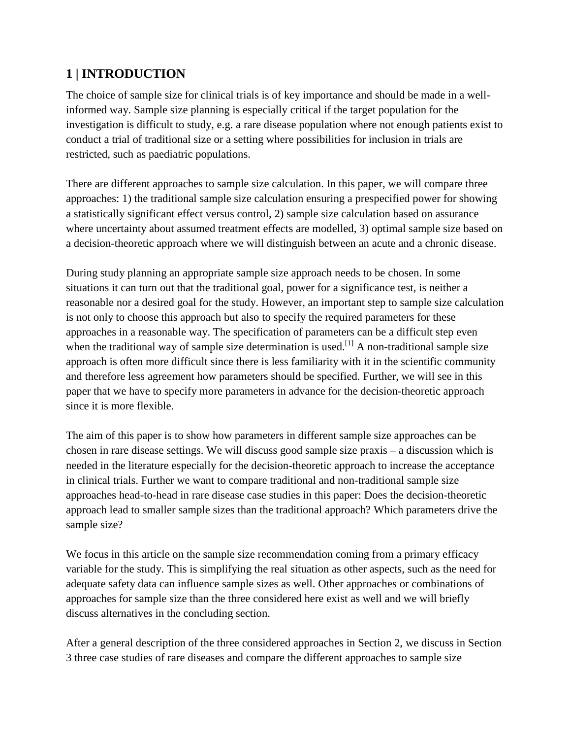# **1 | INTRODUCTION**

The choice of sample size for clinical trials is of key importance and should be made in a wellinformed way. Sample size planning is especially critical if the target population for the investigation is difficult to study, e.g. a rare disease population where not enough patients exist to conduct a trial of traditional size or a setting where possibilities for inclusion in trials are restricted, such as paediatric populations.

There are different approaches to sample size calculation. In this paper, we will compare three approaches: 1) the traditional sample size calculation ensuring a prespecified power for showing a statistically significant effect versus control, 2) sample size calculation based on assurance where uncertainty about assumed treatment effects are modelled, 3) optimal sample size based on a decision-theoretic approach where we will distinguish between an acute and a chronic disease.

During study planning an appropriate sample size approach needs to be chosen. In some situations it can turn out that the traditional goal, power for a significance test, is neither a reasonable nor a desired goal for the study. However, an important step to sample size calculation is not only to choose this approach but also to specify the required parameters for these approaches in a reasonable way. The specification of parameters can be a difficult step even when the traditional way of sample size determination is used.<sup>[1]</sup> A non-traditional sample size approach is often more difficult since there is less familiarity with it in the scientific community and therefore less agreement how parameters should be specified. Further, we will see in this paper that we have to specify more parameters in advance for the decision-theoretic approach since it is more flexible.

The aim of this paper is to show how parameters in different sample size approaches can be chosen in rare disease settings. We will discuss good sample size praxis – a discussion which is needed in the literature especially for the decision-theoretic approach to increase the acceptance in clinical trials. Further we want to compare traditional and non-traditional sample size approaches head-to-head in rare disease case studies in this paper: Does the decision-theoretic approach lead to smaller sample sizes than the traditional approach? Which parameters drive the sample size?

We focus in this article on the sample size recommendation coming from a primary efficacy variable for the study. This is simplifying the real situation as other aspects, such as the need for adequate safety data can influence sample sizes as well. Other approaches or combinations of approaches for sample size than the three considered here exist as well and we will briefly discuss alternatives in the concluding section.

After a general description of the three considered approaches in Section 2, we discuss in Section 3 three case studies of rare diseases and compare the different approaches to sample size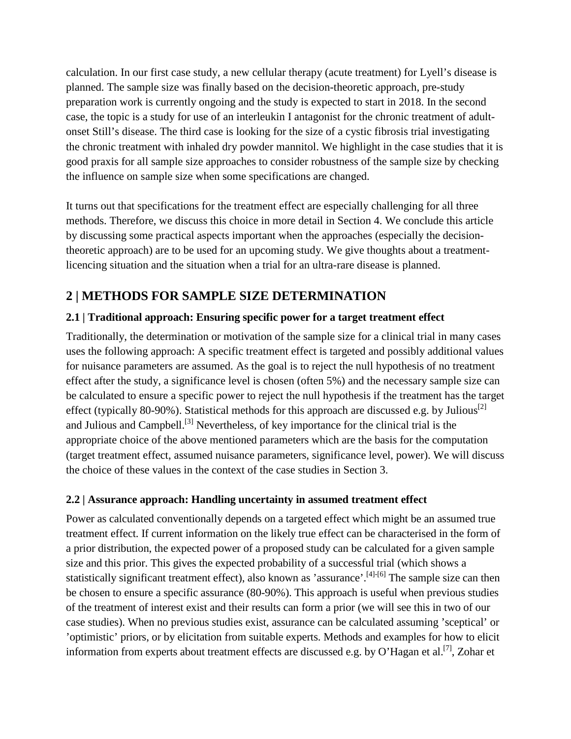calculation. In our first case study, a new cellular therapy (acute treatment) for Lyell's disease is planned. The sample size was finally based on the decision-theoretic approach, pre-study preparation work is currently ongoing and the study is expected to start in 2018. In the second case, the topic is a study for use of an interleukin I antagonist for the chronic treatment of adultonset Still's disease. The third case is looking for the size of a cystic fibrosis trial investigating the chronic treatment with inhaled dry powder mannitol. We highlight in the case studies that it is good praxis for all sample size approaches to consider robustness of the sample size by checking the influence on sample size when some specifications are changed.

It turns out that specifications for the treatment effect are especially challenging for all three methods. Therefore, we discuss this choice in more detail in Section 4. We conclude this article by discussing some practical aspects important when the approaches (especially the decisiontheoretic approach) are to be used for an upcoming study. We give thoughts about a treatmentlicencing situation and the situation when a trial for an ultra-rare disease is planned.

# **2 | METHODS FOR SAMPLE SIZE DETERMINATION**

## **2.1 | Traditional approach: Ensuring specific power for a target treatment effect**

Traditionally, the determination or motivation of the sample size for a clinical trial in many cases uses the following approach: A specific treatment effect is targeted and possibly additional values for nuisance parameters are assumed. As the goal is to reject the null hypothesis of no treatment effect after the study, a significance level is chosen (often 5%) and the necessary sample size can be calculated to ensure a specific power to reject the null hypothesis if the treatment has the target effect (typically 80-90%). Statistical methods for this approach are discussed e.g. by Julious<sup>[2]</sup> and Julious and Campbell.<sup>[3]</sup> Nevertheless, of key importance for the clinical trial is the appropriate choice of the above mentioned parameters which are the basis for the computation (target treatment effect, assumed nuisance parameters, significance level, power). We will discuss the choice of these values in the context of the case studies in Section 3.

## **2.2 | Assurance approach: Handling uncertainty in assumed treatment effect**

Power as calculated conventionally depends on a targeted effect which might be an assumed true treatment effect. If current information on the likely true effect can be characterised in the form of a prior distribution, the expected power of a proposed study can be calculated for a given sample size and this prior. This gives the expected probability of a successful trial (which shows a statistically significant treatment effect), also known as 'assurance'.<sup>[4]-[6]</sup> The sample size can then be chosen to ensure a specific assurance (80-90%). This approach is useful when previous studies of the treatment of interest exist and their results can form a prior (we will see this in two of our case studies). When no previous studies exist, assurance can be calculated assuming 'sceptical' or 'optimistic' priors, or by elicitation from suitable experts. Methods and examples for how to elicit information from experts about treatment effects are discussed e.g. by O'Hagan et al.<sup>[7]</sup>, Zohar et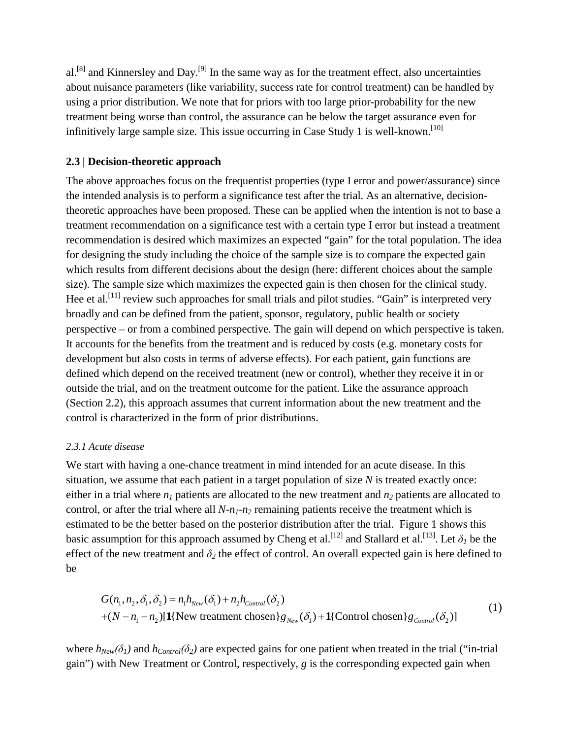al.<sup>[8]</sup> and Kinnersley and Day.<sup>[9]</sup> In the same way as for the treatment effect, also uncertainties about nuisance parameters (like variability, success rate for control treatment) can be handled by using a prior distribution. We note that for priors with too large prior-probability for the new treatment being worse than control, the assurance can be below the target assurance even for infinitively large sample size. This issue occurring in Case Study 1 is well-known.<sup>[10]</sup>

### **2.3 | Decision-theoretic approach**

The above approaches focus on the frequentist properties (type I error and power/assurance) since the intended analysis is to perform a significance test after the trial. As an alternative, decisiontheoretic approaches have been proposed. These can be applied when the intention is not to base a treatment recommendation on a significance test with a certain type I error but instead a treatment recommendation is desired which maximizes an expected "gain" for the total population. The idea for designing the study including the choice of the sample size is to compare the expected gain which results from different decisions about the design (here: different choices about the sample size). The sample size which maximizes the expected gain is then chosen for the clinical study. Hee et al.<sup>[11]</sup> review such approaches for small trials and pilot studies. "Gain" is interpreted very broadly and can be defined from the patient, sponsor, regulatory, public health or society perspective – or from a combined perspective. The gain will depend on which perspective is taken. It accounts for the benefits from the treatment and is reduced by costs (e.g. monetary costs for development but also costs in terms of adverse effects). For each patient, gain functions are defined which depend on the received treatment (new or control), whether they receive it in or outside the trial, and on the treatment outcome for the patient. Like the assurance approach (Section 2.2), this approach assumes that current information about the new treatment and the control is characterized in the form of prior distributions.

### *2.3.1 Acute disease*

We start with having a one-chance treatment in mind intended for an acute disease. In this situation, we assume that each patient in a target population of size *N* is treated exactly once: either in a trial where  $n_l$  patients are allocated to the new treatment and  $n_2$  patients are allocated to control, or after the trial where all  $N-n_1-n_2$  remaining patients receive the treatment which is estimated to be the better based on the posterior distribution after the trial. [Figure 1](#page-22-0) shows this basic assumption for this approach assumed by Cheng et al.<sup>[12]</sup> and Stallard et al.<sup>[13]</sup>. Let  $\delta_l$  be the effect of the new treatment and  $\delta_2$  the effect of control. An overall expected gain is here defined to be

$$
G(n_1, n_2, \delta_1, \delta_2) = n_1 h_{New}(\delta_1) + n_2 h_{Control}(\delta_2)
$$
  
+
$$
(N - n_1 - n_2)[1]
$$
 New treatment chosen $\gtrsim_{New}(\delta_1)$ +
$$
1
$$
{Control chosen $\gtrsim_{Control}(\delta_2)$  (1)

where  $h_{New}(\delta_1)$  and  $h_{Control}(\delta_2)$  are expected gains for one patient when treated in the trial ("in-trial") gain") with New Treatment or Control, respectively, *g* is the corresponding expected gain when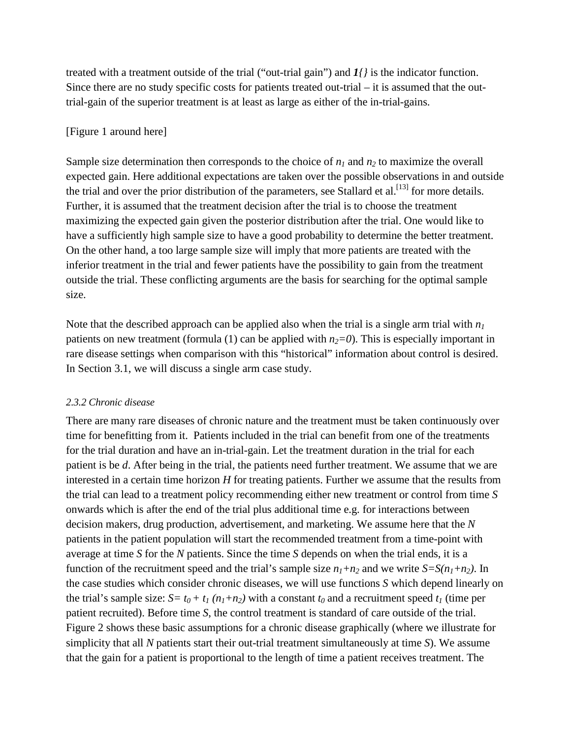treated with a treatment outside of the trial ("out-trial gain") and *1{}* is the indicator function. Since there are no study specific costs for patients treated out-trial – it is assumed that the outtrial-gain of the superior treatment is at least as large as either of the in-trial-gains.

### [\[Figure 1](#page-22-0) around here]

Sample size determination then corresponds to the choice of  $n_1$  and  $n_2$  to maximize the overall expected gain. Here additional expectations are taken over the possible observations in and outside the trial and over the prior distribution of the parameters, see Stallard et al.<sup>[13]</sup> for more details. Further, it is assumed that the treatment decision after the trial is to choose the treatment maximizing the expected gain given the posterior distribution after the trial. One would like to have a sufficiently high sample size to have a good probability to determine the better treatment. On the other hand, a too large sample size will imply that more patients are treated with the inferior treatment in the trial and fewer patients have the possibility to gain from the treatment outside the trial. These conflicting arguments are the basis for searching for the optimal sample size.

Note that the described approach can be applied also when the trial is a single arm trial with *n1* patients on new treatment (formula (1) can be applied with  $n_2=0$ ). This is especially important in rare disease settings when comparison with this "historical" information about control is desired. In Section 3.1, we will discuss a single arm case study.

### *2.3.2 Chronic disease*

There are many rare diseases of chronic nature and the treatment must be taken continuously over time for benefitting from it. Patients included in the trial can benefit from one of the treatments for the trial duration and have an in-trial-gain. Let the treatment duration in the trial for each patient is be *d*. After being in the trial, the patients need further treatment. We assume that we are interested in a certain time horizon *H* for treating patients. Further we assume that the results from the trial can lead to a treatment policy recommending either new treatment or control from time *S* onwards which is after the end of the trial plus additional time e.g. for interactions between decision makers, drug production, advertisement, and marketing. We assume here that the *N* patients in the patient population will start the recommended treatment from a time-point with average at time *S* for the *N* patients. Since the time *S* depends on when the trial ends, it is a function of the recruitment speed and the trial's sample size  $n_1+n_2$  and we write  $S=S(n_1+n_2)$ . In the case studies which consider chronic diseases, we will use functions *S* which depend linearly on the trial's sample size:  $S = t_0 + t_1 (n_1+n_2)$  with a constant  $t_0$  and a recruitment speed  $t_1$  (time per patient recruited). Before time *S*, the control treatment is standard of care outside of the trial. [Figure 2](#page-22-1) shows these basic assumptions for a chronic disease graphically (where we illustrate for simplicity that all *N* patients start their out-trial treatment simultaneously at time *S*). We assume that the gain for a patient is proportional to the length of time a patient receives treatment. The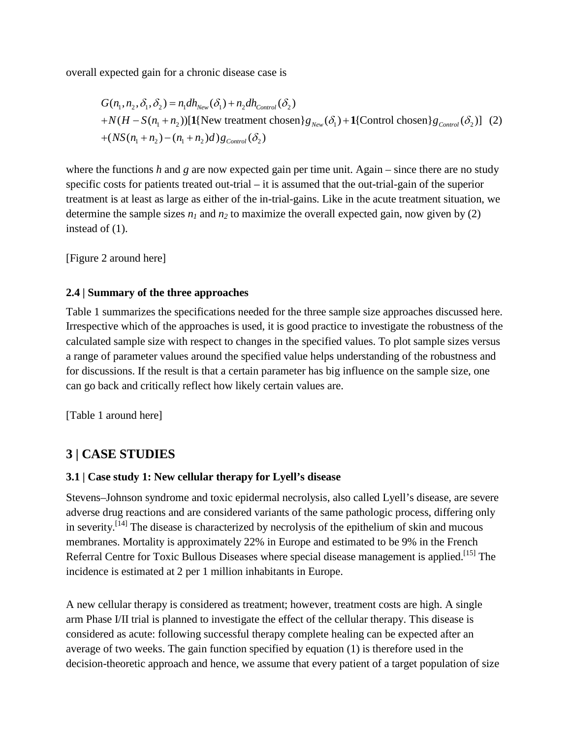overall expected gain for a chronic disease case is

$$
G(n_1, n_2, \delta_1, \delta_2) = n_1 dh_{New}(\delta_1) + n_2 dh_{Control}(\delta_2)
$$
  
+ $N(H - S(n_1 + n_2))[\mathbf{1}\{\text{New treatment chosen}\}}g_{New}(\delta_1) + \mathbf{1}\{\text{Control chosen}\}g_{Control}(\delta_2)]$  (2)  
+ $(NS(n_1 + n_2) - (n_1 + n_2)d)g_{Control}(\delta_2)$ 

where the functions *h* and *g* are now expected gain per time unit. Again – since there are no study specific costs for patients treated out-trial – it is assumed that the out-trial-gain of the superior treatment is at least as large as either of the in-trial-gains. Like in the acute treatment situation, we determine the sample sizes  $n_1$  and  $n_2$  to maximize the overall expected gain, now given by (2) instead of (1).

[\[Figure 2](#page-22-1) around here]

## **2.4 | Summary of the three approaches**

Table 1 summarizes the specifications needed for the three sample size approaches discussed here. Irrespective which of the approaches is used, it is good practice to investigate the robustness of the calculated sample size with respect to changes in the specified values. To plot sample sizes versus a range of parameter values around the specified value helps understanding of the robustness and for discussions. If the result is that a certain parameter has big influence on the sample size, one can go back and critically reflect how likely certain values are.

[Table 1 around here]

# **3 | CASE STUDIES**

## **3.1 | Case study 1: New cellular therapy for Lyell's disease**

Stevens–Johnson syndrome and toxic epidermal necrolysis, also called Lyell's disease, are severe adverse drug reactions and are considered variants of the same pathologic process, differing only in severity.<sup>[14]</sup> The disease is characterized by necrolysis of the epithelium of skin and mucous membranes. Mortality is approximately 22% in Europe and estimated to be 9% in the French Referral Centre for Toxic Bullous Diseases where special disease management is applied.<sup>[15]</sup> The incidence is estimated at 2 per 1 million inhabitants in Europe.

A new cellular therapy is considered as treatment; however, treatment costs are high. A single arm Phase I/II trial is planned to investigate the effect of the cellular therapy. This disease is considered as acute: following successful therapy complete healing can be expected after an average of two weeks. The gain function specified by equation (1) is therefore used in the decision-theoretic approach and hence, we assume that every patient of a target population of size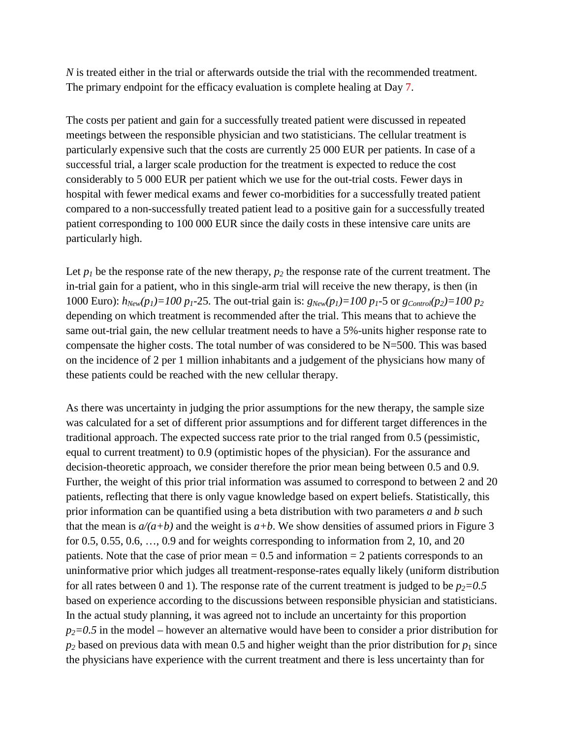*N* is treated either in the trial or afterwards outside the trial with the recommended treatment. The primary endpoint for the efficacy evaluation is complete healing at Day 7.

The costs per patient and gain for a successfully treated patient were discussed in repeated meetings between the responsible physician and two statisticians. The cellular treatment is particularly expensive such that the costs are currently 25 000 EUR per patients. In case of a successful trial, a larger scale production for the treatment is expected to reduce the cost considerably to 5 000 EUR per patient which we use for the out-trial costs. Fewer days in hospital with fewer medical exams and fewer co-morbidities for a successfully treated patient compared to a non-successfully treated patient lead to a positive gain for a successfully treated patient corresponding to 100 000 EUR since the daily costs in these intensive care units are particularly high.

Let  $p_1$  be the response rate of the new therapy,  $p_2$  the response rate of the current treatment. The in-trial gain for a patient, who in this single-arm trial will receive the new therapy, is then (in 1000 Euro):  $h_{New}(p_1) = 100 p_1 - 25$ . The out-trial gain is:  $g_{New}(p_1) = 100 p_1 - 5$  or  $g_{Control}(p_2) = 100 p_2$ depending on which treatment is recommended after the trial. This means that to achieve the same out-trial gain, the new cellular treatment needs to have a 5%-units higher response rate to compensate the higher costs. The total number of was considered to be N=500. This was based on the incidence of 2 per 1 million inhabitants and a judgement of the physicians how many of these patients could be reached with the new cellular therapy.

As there was uncertainty in judging the prior assumptions for the new therapy, the sample size was calculated for a set of different prior assumptions and for different target differences in the traditional approach. The expected success rate prior to the trial ranged from 0.5 (pessimistic, equal to current treatment) to 0.9 (optimistic hopes of the physician). For the assurance and decision-theoretic approach, we consider therefore the prior mean being between 0.5 and 0.9. Further, the weight of this prior trial information was assumed to correspond to between 2 and 20 patients, reflecting that there is only vague knowledge based on expert beliefs. Statistically, this prior information can be quantified using a beta distribution with two parameters *a* and *b* such that the mean is  $a/(a+b)$  and the weight is  $a+b$ . We show densities of assumed priors in [Figure 3](#page-23-0) for 0.5, 0.55, 0.6, …, 0.9 and for weights corresponding to information from 2, 10, and 20 patients. Note that the case of prior mean  $= 0.5$  and information  $= 2$  patients corresponds to an uninformative prior which judges all treatment-response-rates equally likely (uniform distribution for all rates between 0 and 1). The response rate of the current treatment is judged to be  $p_2=0.5$ based on experience according to the discussions between responsible physician and statisticians. In the actual study planning, it was agreed not to include an uncertainty for this proportion  $p_2=0.5$  in the model – however an alternative would have been to consider a prior distribution for  $p_2$  based on previous data with mean 0.5 and higher weight than the prior distribution for  $p_1$  since the physicians have experience with the current treatment and there is less uncertainty than for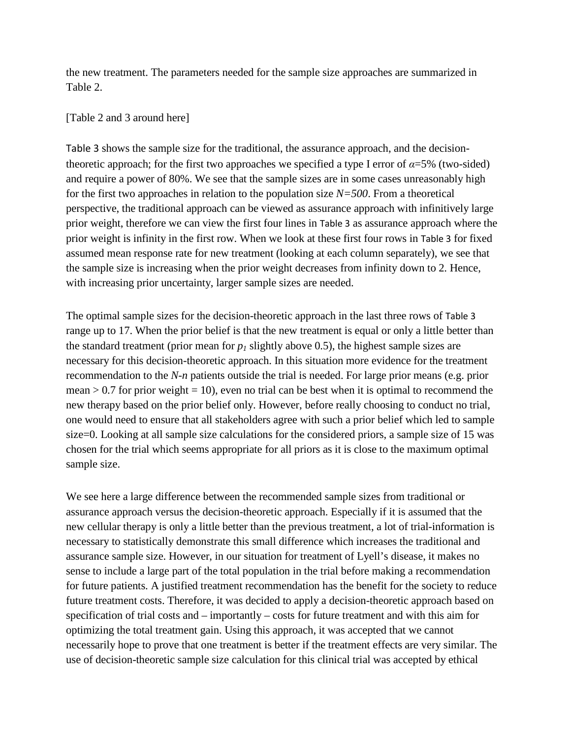the new treatment. The parameters needed for the sample size approaches are summarized in [Table 2.](#page-20-0)

### [Table 2 and 3 around here]

[Table 3](#page-21-0) shows the sample size for the traditional, the assurance approach, and the decisiontheoretic approach; for the first two approaches we specified a type I error of  $\alpha = 5\%$  (two-sided) and require a power of 80%. We see that the sample sizes are in some cases unreasonably high for the first two approaches in relation to the population size *N=500*. From a theoretical perspective, the traditional approach can be viewed as assurance approach with infinitively large prior weight, therefore we can view the first four lines in [Table 3](#page-21-0) as assurance approach where the prior weight is infinity in the first row. When we look at these first four rows in [Table 3](#page-21-0) for fixed assumed mean response rate for new treatment (looking at each column separately), we see that the sample size is increasing when the prior weight decreases from infinity down to 2. Hence, with increasing prior uncertainty, larger sample sizes are needed.

The optimal sample sizes for the decision-theoretic approach in the last three rows of [Table 3](#page-21-0) range up to 17. When the prior belief is that the new treatment is equal or only a little better than the standard treatment (prior mean for  $p_1$  slightly above 0.5), the highest sample sizes are necessary for this decision-theoretic approach. In this situation more evidence for the treatment recommendation to the *N-n* patients outside the trial is needed. For large prior means (e.g. prior mean  $> 0.7$  for prior weight = 10), even no trial can be best when it is optimal to recommend the new therapy based on the prior belief only. However, before really choosing to conduct no trial, one would need to ensure that all stakeholders agree with such a prior belief which led to sample size=0. Looking at all sample size calculations for the considered priors, a sample size of 15 was chosen for the trial which seems appropriate for all priors as it is close to the maximum optimal sample size.

We see here a large difference between the recommended sample sizes from traditional or assurance approach versus the decision-theoretic approach. Especially if it is assumed that the new cellular therapy is only a little better than the previous treatment, a lot of trial-information is necessary to statistically demonstrate this small difference which increases the traditional and assurance sample size. However, in our situation for treatment of Lyell's disease, it makes no sense to include a large part of the total population in the trial before making a recommendation for future patients. A justified treatment recommendation has the benefit for the society to reduce future treatment costs. Therefore, it was decided to apply a decision-theoretic approach based on specification of trial costs and – importantly – costs for future treatment and with this aim for optimizing the total treatment gain. Using this approach, it was accepted that we cannot necessarily hope to prove that one treatment is better if the treatment effects are very similar. The use of decision-theoretic sample size calculation for this clinical trial was accepted by ethical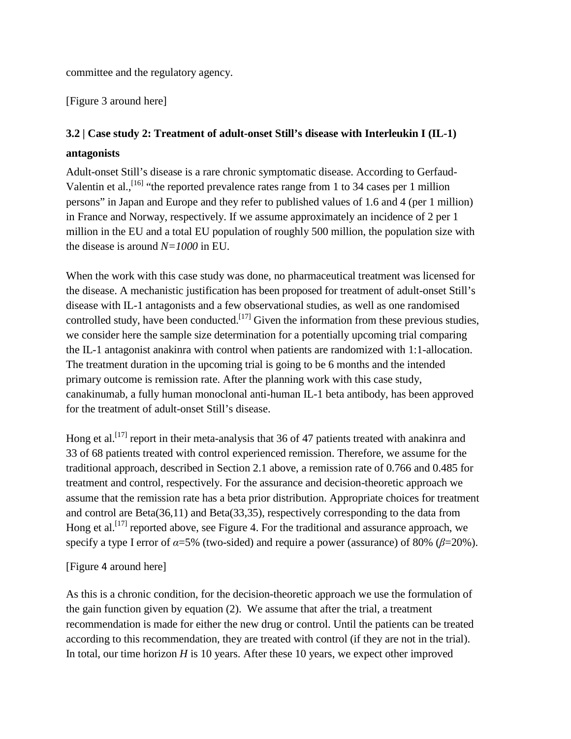committee and the regulatory agency.

[\[Figure 3](#page-23-0) around here]

# **3.2 | Case study 2: Treatment of adult-onset Still's disease with Interleukin I (IL-1) antagonists**

Adult-onset Still's disease is a rare chronic symptomatic disease. According to Gerfaud-Valentin et al.,<sup>[16]</sup> "the reported prevalence rates range from 1 to 34 cases per 1 million persons" in Japan and Europe and they refer to published values of 1.6 and 4 (per 1 million) in France and Norway, respectively. If we assume approximately an incidence of 2 per 1 million in the EU and a total EU population of roughly 500 million, the population size with the disease is around *N=1000* in EU.

When the work with this case study was done, no pharmaceutical treatment was licensed for the disease. A mechanistic justification has been proposed for treatment of adult-onset Still's disease with IL-1 antagonists and a few observational studies, as well as one randomised controlled study, have been conducted.<sup>[17]</sup> Given the information from these previous studies, we consider here the sample size determination for a potentially upcoming trial comparing the IL-1 antagonist anakinra with control when patients are randomized with 1:1-allocation. The treatment duration in the upcoming trial is going to be 6 months and the intended primary outcome is remission rate. After the planning work with this case study, canakinumab, a fully human monoclonal anti-human IL-1 beta antibody, has been approved for the treatment of adult-onset Still's disease.

Hong et al.<sup>[17]</sup> report in their meta-analysis that 36 of 47 patients treated with anakinra and 33 of 68 patients treated with control experienced remission. Therefore, we assume for the traditional approach, described in Section 2.1 above, a remission rate of 0.766 and 0.485 for treatment and control, respectively. For the assurance and decision-theoretic approach we assume that the remission rate has a beta prior distribution. Appropriate choices for treatment and control are Beta(36,11) and Beta(33,35), respectively corresponding to the data from Hong et al.<sup>[17]</sup> reported above, see [Figure 4.](#page-23-1) For the traditional and assurance approach, we specify a type I error of *α*=5% (two-sided) and require a power (assurance) of 80% (*β*=20%).

## [\[Figure](#page-23-1) 4 around here]

As this is a chronic condition, for the decision-theoretic approach we use the formulation of the gain function given by equation (2). We assume that after the trial, a treatment recommendation is made for either the new drug or control. Until the patients can be treated according to this recommendation, they are treated with control (if they are not in the trial). In total, our time horizon *H* is 10 years. After these 10 years, we expect other improved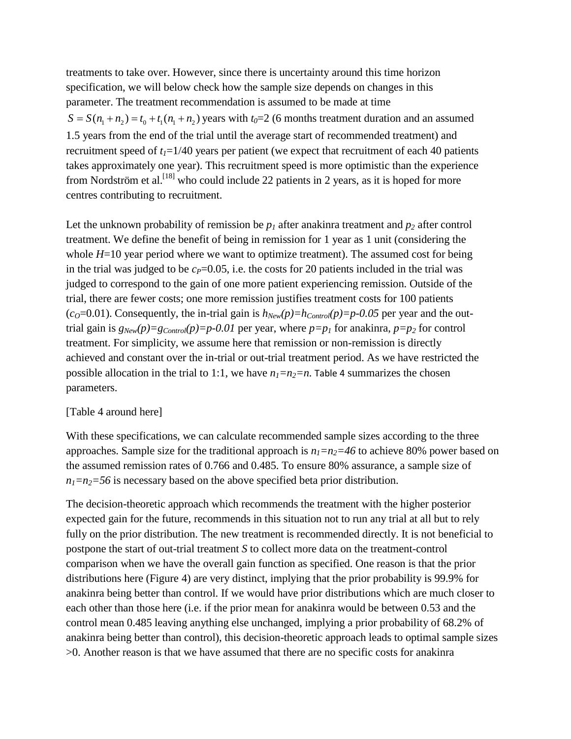treatments to take over. However, since there is uncertainty around this time horizon specification, we will below check how the sample size depends on changes in this parameter. The treatment recommendation is assumed to be made at time  $S = S(n_1 + n_2) = t_0 + t_1(n_1 + n_2)$  years with  $t_0 = 2$  (6 months treatment duration and an assumed 1.5 years from the end of the trial until the average start of recommended treatment) and recruitment speed of  $t_1=1/40$  years per patient (we expect that recruitment of each 40 patients takes approximately one year). This recruitment speed is more optimistic than the experience from Nordström et al.<sup>[18]</sup> who could include 22 patients in 2 years, as it is hoped for more centres contributing to recruitment.

Let the unknown probability of remission be  $p_1$  after anakinra treatment and  $p_2$  after control treatment. We define the benefit of being in remission for 1 year as 1 unit (considering the whole  $H=10$  year period where we want to optimize treatment). The assumed cost for being in the trial was judged to be  $c_P$ =0.05, i.e. the costs for 20 patients included in the trial was judged to correspond to the gain of one more patient experiencing remission. Outside of the trial, there are fewer costs; one more remission justifies treatment costs for 100 patients  $(c_0=0.01)$ . Consequently, the in-trial gain is  $h_{New}(p)=h_{Control}(p)=p-0.05$  per year and the outtrial gain is  $g_{New}(p)=g_{Control}(p)=p-0.01$  per year, where  $p=p_1$  for anakinra,  $p=p_2$  for control treatment. For simplicity, we assume here that remission or non-remission is directly achieved and constant over the in-trial or out-trial treatment period. As we have restricted the possible allocation in the trial to 1:1, we have  $n_1=n_2=n$ . [Table 4](#page-21-1) summarizes the chosen parameters.

#### [Table 4 around here]

With these specifications, we can calculate recommended sample sizes according to the three approaches. Sample size for the traditional approach is  $n_1=n_2=46$  to achieve 80% power based on the assumed remission rates of 0.766 and 0.485. To ensure 80% assurance, a sample size of  $n_1=n_2=56$  is necessary based on the above specified beta prior distribution.

The decision-theoretic approach which recommends the treatment with the higher posterior expected gain for the future, recommends in this situation not to run any trial at all but to rely fully on the prior distribution. The new treatment is recommended directly. It is not beneficial to postpone the start of out-trial treatment *S* to collect more data on the treatment-control comparison when we have the overall gain function as specified. One reason is that the prior distributions here [\(Figure 4\)](#page-23-1) are very distinct, implying that the prior probability is 99.9% for anakinra being better than control. If we would have prior distributions which are much closer to each other than those here (i.e. if the prior mean for anakinra would be between 0.53 and the control mean 0.485 leaving anything else unchanged, implying a prior probability of 68.2% of anakinra being better than control), this decision-theoretic approach leads to optimal sample sizes >0. Another reason is that we have assumed that there are no specific costs for anakinra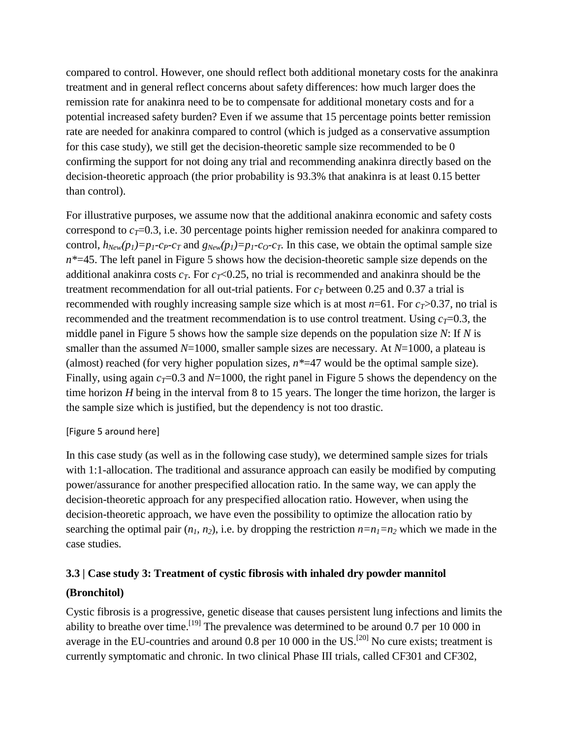compared to control. However, one should reflect both additional monetary costs for the anakinra treatment and in general reflect concerns about safety differences: how much larger does the remission rate for anakinra need to be to compensate for additional monetary costs and for a potential increased safety burden? Even if we assume that 15 percentage points better remission rate are needed for anakinra compared to control (which is judged as a conservative assumption for this case study), we still get the decision-theoretic sample size recommended to be 0 confirming the support for not doing any trial and recommending anakinra directly based on the decision-theoretic approach (the prior probability is 93.3% that anakinra is at least 0.15 better than control).

For illustrative purposes, we assume now that the additional anakinra economic and safety costs correspond to  $c_T$ =0.3, i.e. 30 percentage points higher remission needed for anakinra compared to control,  $h_{New}(p_1)=p_1-c_P-c_T$  and  $g_{New}(p_1)=p_1-c_O-c_T$ . In this case, we obtain the optimal sample size *n\**=45. The left panel in [Figure 5](#page-24-0) shows how the decision-theoretic sample size depends on the additional anakinra costs  $c_T$ . For  $c_T$ <0.25, no trial is recommended and anakinra should be the treatment recommendation for all out-trial patients. For  $c<sub>T</sub>$  between 0.25 and 0.37 a trial is recommended with roughly increasing sample size which is at most  $n=61$ . For  $c_T>0.37$ , no trial is recommended and the treatment recommendation is to use control treatment. Using  $c_T$ =0.3, the middle panel in [Figure 5](#page-24-0) shows how the sample size depends on the population size *N*: If *N* is smaller than the assumed *N*=1000, smaller sample sizes are necessary. At *N*=1000, a plateau is (almost) reached (for very higher population sizes, *n\**=47 would be the optimal sample size). Finally, using again  $c_T$ =0.3 and *N*=1000, the right panel in [Figure 5](#page-24-0) shows the dependency on the time horizon *H* being in the interval from 8 to 15 years. The longer the time horizon, the larger is the sample size which is justified, but the dependency is not too drastic.

### [\[Figure 5](#page-24-0) around here]

In this case study (as well as in the following case study), we determined sample sizes for trials with 1:1-allocation. The traditional and assurance approach can easily be modified by computing power/assurance for another prespecified allocation ratio. In the same way, we can apply the decision-theoretic approach for any prespecified allocation ratio. However, when using the decision-theoretic approach, we have even the possibility to optimize the allocation ratio by searching the optimal pair  $(n_1, n_2)$ , i.e. by dropping the restriction  $n=n_1=n_2$  which we made in the case studies.

# **3.3 | Case study 3: Treatment of cystic fibrosis with inhaled dry powder mannitol (Bronchitol)**

Cystic fibrosis is a progressive, genetic disease that causes persistent lung infections and limits the ability to breathe over time.<sup>[19]</sup> The prevalence was determined to be around 0.7 per 10 000 in average in the EU-countries and around  $0.8$  per 10 000 in the US.<sup>[20]</sup> No cure exists; treatment is currently symptomatic and chronic. In two clinical Phase III trials, called CF301 and CF302,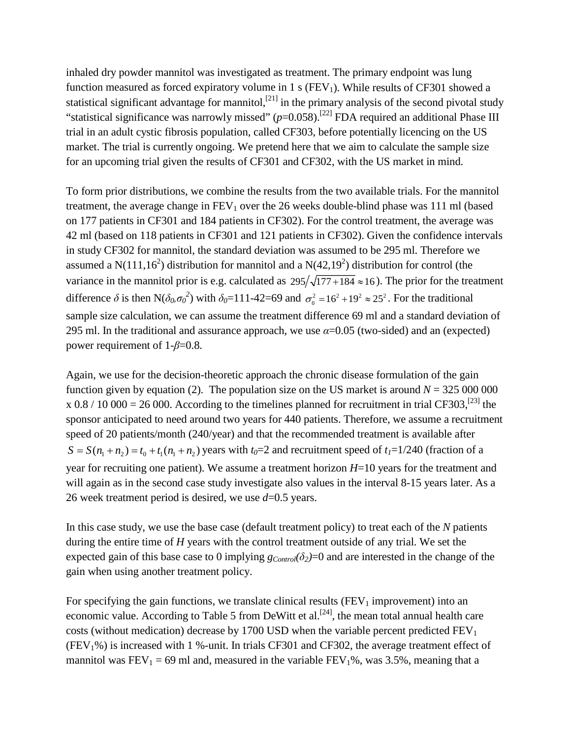inhaled dry powder mannitol was investigated as treatment. The primary endpoint was lung function measured as forced expiratory volume in 1 s ( $FEV<sub>1</sub>$ ). While results of CF301 showed a statistical significant advantage for mannitol, $[21]$  in the primary analysis of the second pivotal study "statistical significance was narrowly missed"  $(p=0.058)$ .<sup>[22]</sup> FDA required an additional Phase III trial in an adult cystic fibrosis population, called CF303, before potentially licencing on the US market. The trial is currently ongoing. We pretend here that we aim to calculate the sample size for an upcoming trial given the results of CF301 and CF302, with the US market in mind.

To form prior distributions, we combine the results from the two available trials. For the mannitol treatment, the average change in  $FEV_1$  over the 26 weeks double-blind phase was 111 ml (based on 177 patients in CF301 and 184 patients in CF302). For the control treatment, the average was 42 ml (based on 118 patients in CF301 and 121 patients in CF302). Given the confidence intervals in study CF302 for mannitol, the standard deviation was assumed to be 295 ml. Therefore we assumed a N(111,16<sup>2</sup>) distribution for mannitol and a N(42,19<sup>2</sup>) distribution for control (the variance in the mannitol prior is e.g. calculated as  $295/\sqrt{177+184} \approx 16$ ). The prior for the treatment difference  $\delta$  is then N( $\delta_0 \sigma_0^2$ ) with  $\delta_0 = 111-42=69$  and  $\sigma_0^2 = 16^2 + 19^2 \approx 25^2$ . For the traditional sample size calculation, we can assume the treatment difference 69 ml and a standard deviation of 295 ml. In the traditional and assurance approach, we use  $\alpha$ =0.05 (two-sided) and an (expected) power requirement of 1-*β*=0.8.

Again, we use for the decision-theoretic approach the chronic disease formulation of the gain function given by equation (2). The population size on the US market is around  $N = 325,000,000$ x 0.8 / 10 000 = 26 000. According to the timelines planned for recruitment in trial CF303,<sup>[23]</sup> the sponsor anticipated to need around two years for 440 patients. Therefore, we assume a recruitment speed of 20 patients/month (240/year) and that the recommended treatment is available after  $S = S(n_1 + n_2) = t_0 + t_1(n_1 + n_2)$  years with  $t_0 = 2$  and recruitment speed of  $t_1 = 1/240$  (fraction of a year for recruiting one patient). We assume a treatment horizon *H*=10 years for the treatment and will again as in the second case study investigate also values in the interval 8-15 years later. As a 26 week treatment period is desired, we use *d*=0.5 years.

In this case study, we use the base case (default treatment policy) to treat each of the *N* patients during the entire time of *H* years with the control treatment outside of any trial. We set the expected gain of this base case to 0 implying  $g_{Control}(\delta_2)=0$  and are interested in the change of the gain when using another treatment policy.

For specifying the gain functions, we translate clinical results ( $FEV<sub>1</sub>$  improvement) into an economic value. According to Table 5 from DeWitt et al.<sup>[24]</sup>, the mean total annual health care costs (without medication) decrease by 1700 USD when the variable percent predicted  $FEV<sub>1</sub>$  $(FEV<sub>1</sub>%)$  is increased with 1 %-unit. In trials CF301 and CF302, the average treatment effect of mannitol was  $FEV_1 = 69$  ml and, measured in the variable  $FEV_1\%$ , was 3.5%, meaning that a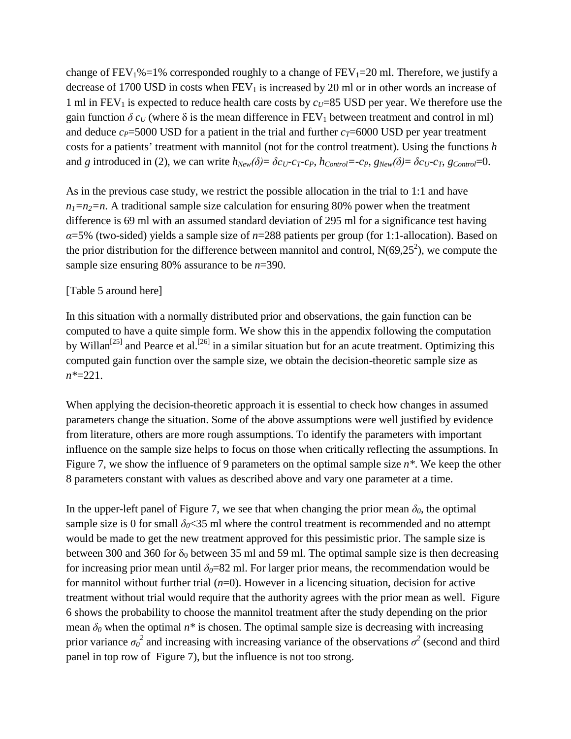change of  $FEV_1\% = 1\%$  corresponded roughly to a change of  $FEV_1 = 20$  ml. Therefore, we justify a decrease of 1700 USD in costs when  $FEV<sub>1</sub>$  is increased by 20 ml or in other words an increase of 1 ml in  $FEV_1$  is expected to reduce health care costs by  $c_U=85 \text{ USD}$  per year. We therefore use the gain function  $\delta c_U$  (where  $\delta$  is the mean difference in FEV<sub>1</sub> between treatment and control in ml) and deduce  $c_P$ =5000 USD for a patient in the trial and further  $c_T$ =6000 USD per year treatment costs for a patients' treatment with mannitol (not for the control treatment). Using the functions *h* and *g* introduced in (2), we can write  $h_{New}(\delta) = \delta c_U - c_T - c_P$ ,  $h_{Control} = -c_P$ ,  $g_{New}(\delta) = \delta c_U - c_T$ ,  $g_{Control} = 0$ .

As in the previous case study, we restrict the possible allocation in the trial to 1:1 and have  $n_1=n_2=n$ . A traditional sample size calculation for ensuring 80% power when the treatment difference is 69 ml with an assumed standard deviation of 295 ml for a significance test having *α*=5% (two-sided) yields a sample size of *n*=288 patients per group (for 1:1-allocation). Based on the prior distribution for the difference between mannitol and control,  $N(69,25^2)$ , we compute the sample size ensuring 80% assurance to be *n*=390.

## [Table 5 around here]

In this situation with a normally distributed prior and observations, the gain function can be computed to have a quite simple form. We show this in the appendix following the computation by Willan<sup>[25]</sup> and Pearce et al.<sup>[26]</sup> in a similar situation but for an acute treatment. Optimizing this computed gain function over the sample size, we obtain the decision-theoretic sample size as *n\**=221.

When applying the decision-theoretic approach it is essential to check how changes in assumed parameters change the situation. Some of the above assumptions were well justified by evidence from literature, others are more rough assumptions. To identify the parameters with important influence on the sample size helps to focus on those when critically reflecting the assumptions. In [Figure 7,](#page-25-0) we show the influence of 9 parameters on the optimal sample size *n\**. We keep the other 8 parameters constant with values as described above and vary one parameter at a time.

In the upper-left panel of [Figure 7,](#page-25-0) we see that when changing the prior mean  $\delta_0$ , the optimal sample size is 0 for small  $\delta_0$ <35 ml where the control treatment is recommended and no attempt would be made to get the new treatment approved for this pessimistic prior. The sample size is between 300 and 360 for  $\delta_0$  between 35 ml and 59 ml. The optimal sample size is then decreasing for increasing prior mean until  $\delta_0=82$  ml. For larger prior means, the recommendation would be for mannitol without further trial (*n*=0). However in a licencing situation, decision for active treatment without trial would require that the authority agrees with the prior mean as well. [Figure](#page-24-1)  [6](#page-24-1) shows the probability to choose the mannitol treatment after the study depending on the prior mean  $\delta$ <sup>0</sup> when the optimal  $n^*$  is chosen. The optimal sample size is decreasing with increasing prior variance  $\sigma_0^2$  and increasing with increasing variance of the observations  $\sigma^2$  (second and third panel in top row of [Figure 7\)](#page-25-0), but the influence is not too strong.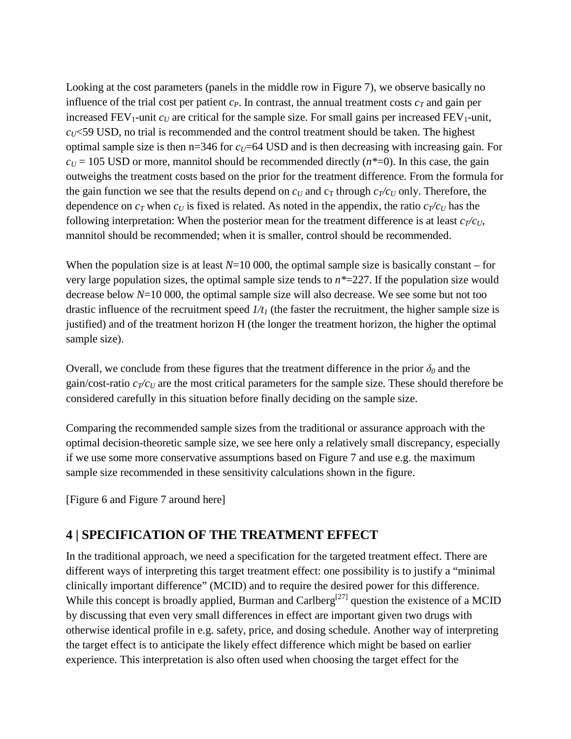Looking at the cost parameters (panels in the middle row in [Figure 7\)](#page-25-0), we observe basically no influence of the trial cost per patient  $c_P$ . In contrast, the annual treatment costs  $c_T$  and gain per increased  $FEV_1$ -unit  $c_U$  are critical for the sample size. For small gains per increased  $FEV_1$ -unit,  $c<sub>U</sub>$   $\leq$  59 USD, no trial is recommended and the control treatment should be taken. The highest optimal sample size is then  $n=346$  for  $c_U=64$  USD and is then decreasing with increasing gain. For  $c_U$  = 105 USD or more, mannitol should be recommended directly  $(n*=0)$ . In this case, the gain outweighs the treatment costs based on the prior for the treatment difference. From the formula for the gain function we see that the results depend on  $c_U$  and  $c_T$  through  $c_T/c_U$  only. Therefore, the dependence on  $c_T$  when  $c_U$  is fixed is related. As noted in the appendix, the ratio  $c_T/c_U$  has the following interpretation: When the posterior mean for the treatment difference is at least  $c_T/c_U$ , mannitol should be recommended; when it is smaller, control should be recommended.

When the population size is at least  $N=10,000$ , the optimal sample size is basically constant – for very large population sizes, the optimal sample size tends to *n\**=227. If the population size would decrease below *N*=10 000, the optimal sample size will also decrease. We see some but not too drastic influence of the recruitment speed  $1/t_1$  (the faster the recruitment, the higher sample size is justified) and of the treatment horizon H (the longer the treatment horizon, the higher the optimal sample size).

Overall, we conclude from these figures that the treatment difference in the prior  $\delta_0$  and the gain/cost-ratio  $c_T/c_U$  are the most critical parameters for the sample size. These should therefore be considered carefully in this situation before finally deciding on the sample size.

Comparing the recommended sample sizes from the traditional or assurance approach with the optimal decision-theoretic sample size, we see here only a relatively small discrepancy, especially if we use some more conservative assumptions based on [Figure 7](#page-25-0) and use e.g. the maximum sample size recommended in these sensitivity calculations shown in the figure.

[\[Figure 6](#page-24-1) and [Figure 7](#page-25-0) around here]

## **4 | SPECIFICATION OF THE TREATMENT EFFECT**

In the traditional approach, we need a specification for the targeted treatment effect. There are different ways of interpreting this target treatment effect: one possibility is to justify a "minimal clinically important difference" (MCID) and to require the desired power for this difference. While this concept is broadly applied, Burman and Carlberg<sup>[27]</sup> question the existence of a MCID by discussing that even very small differences in effect are important given two drugs with otherwise identical profile in e.g. safety, price, and dosing schedule. Another way of interpreting the target effect is to anticipate the likely effect difference which might be based on earlier experience. This interpretation is also often used when choosing the target effect for the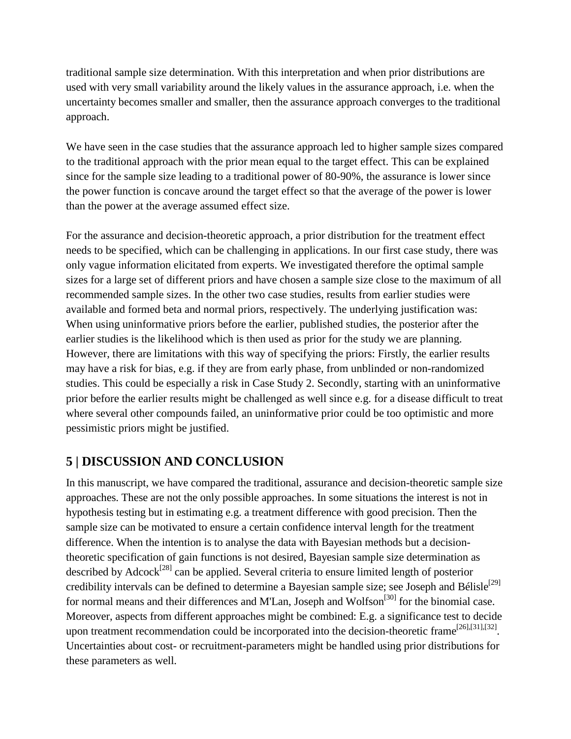traditional sample size determination. With this interpretation and when prior distributions are used with very small variability around the likely values in the assurance approach, i.e. when the uncertainty becomes smaller and smaller, then the assurance approach converges to the traditional approach.

We have seen in the case studies that the assurance approach led to higher sample sizes compared to the traditional approach with the prior mean equal to the target effect. This can be explained since for the sample size leading to a traditional power of 80-90%, the assurance is lower since the power function is concave around the target effect so that the average of the power is lower than the power at the average assumed effect size.

For the assurance and decision-theoretic approach, a prior distribution for the treatment effect needs to be specified, which can be challenging in applications. In our first case study, there was only vague information elicitated from experts. We investigated therefore the optimal sample sizes for a large set of different priors and have chosen a sample size close to the maximum of all recommended sample sizes. In the other two case studies, results from earlier studies were available and formed beta and normal priors, respectively. The underlying justification was: When using uninformative priors before the earlier, published studies, the posterior after the earlier studies is the likelihood which is then used as prior for the study we are planning. However, there are limitations with this way of specifying the priors: Firstly, the earlier results may have a risk for bias, e.g. if they are from early phase, from unblinded or non-randomized studies. This could be especially a risk in Case Study 2. Secondly, starting with an uninformative prior before the earlier results might be challenged as well since e.g. for a disease difficult to treat where several other compounds failed, an uninformative prior could be too optimistic and more pessimistic priors might be justified.

## **5 | DISCUSSION AND CONCLUSION**

In this manuscript, we have compared the traditional, assurance and decision-theoretic sample size approaches. These are not the only possible approaches. In some situations the interest is not in hypothesis testing but in estimating e.g. a treatment difference with good precision. Then the sample size can be motivated to ensure a certain confidence interval length for the treatment difference. When the intention is to analyse the data with Bayesian methods but a decisiontheoretic specification of gain functions is not desired, Bayesian sample size determination as described by Adcock<sup>[28]</sup> can be applied. Several criteria to ensure limited length of posterior credibility intervals can be defined to determine a Bayesian sample size; see Joseph and Bélisle<sup>[29]</sup> for normal means and their differences and M'Lan, Joseph and Wolfson<sup>[30]</sup> for the binomial case. Moreover, aspects from different approaches might be combined: E.g. a significance test to decide upon treatment recommendation could be incorporated into the decision-theoretic frame<sup>[26],[31],[32]</sup>. Uncertainties about cost- or recruitment-parameters might be handled using prior distributions for these parameters as well.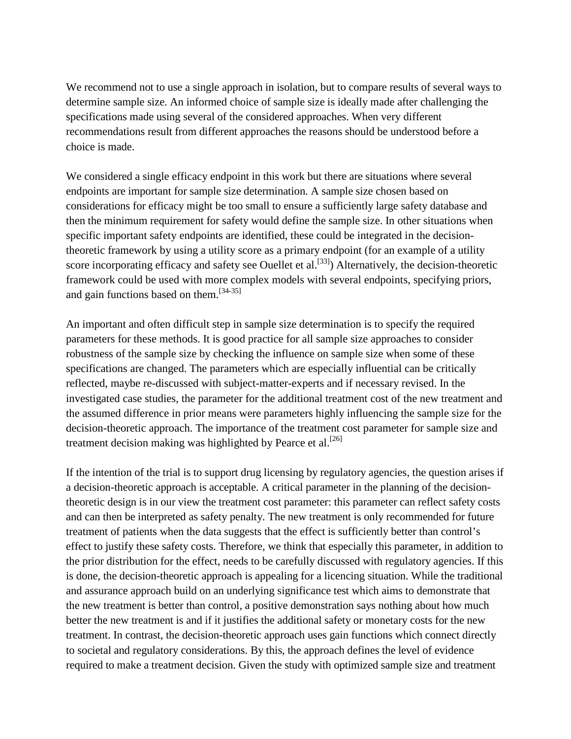We recommend not to use a single approach in isolation, but to compare results of several ways to determine sample size. An informed choice of sample size is ideally made after challenging the specifications made using several of the considered approaches. When very different recommendations result from different approaches the reasons should be understood before a choice is made.

We considered a single efficacy endpoint in this work but there are situations where several endpoints are important for sample size determination. A sample size chosen based on considerations for efficacy might be too small to ensure a sufficiently large safety database and then the minimum requirement for safety would define the sample size. In other situations when specific important safety endpoints are identified, these could be integrated in the decisiontheoretic framework by using a utility score as a primary endpoint (for an example of a utility score incorporating efficacy and safety see Ouellet et al.<sup>[33]</sup>) Alternatively, the decision-theoretic framework could be used with more complex models with several endpoints, specifying priors, and gain functions based on them.<sup>[34-35]</sup>

An important and often difficult step in sample size determination is to specify the required parameters for these methods. It is good practice for all sample size approaches to consider robustness of the sample size by checking the influence on sample size when some of these specifications are changed. The parameters which are especially influential can be critically reflected, maybe re-discussed with subject-matter-experts and if necessary revised. In the investigated case studies, the parameter for the additional treatment cost of the new treatment and the assumed difference in prior means were parameters highly influencing the sample size for the decision-theoretic approach. The importance of the treatment cost parameter for sample size and treatment decision making was highlighted by Pearce et al.  $^{[26]}$ 

If the intention of the trial is to support drug licensing by regulatory agencies, the question arises if a decision-theoretic approach is acceptable. A critical parameter in the planning of the decisiontheoretic design is in our view the treatment cost parameter: this parameter can reflect safety costs and can then be interpreted as safety penalty. The new treatment is only recommended for future treatment of patients when the data suggests that the effect is sufficiently better than control's effect to justify these safety costs. Therefore, we think that especially this parameter, in addition to the prior distribution for the effect, needs to be carefully discussed with regulatory agencies. If this is done, the decision-theoretic approach is appealing for a licencing situation. While the traditional and assurance approach build on an underlying significance test which aims to demonstrate that the new treatment is better than control, a positive demonstration says nothing about how much better the new treatment is and if it justifies the additional safety or monetary costs for the new treatment. In contrast, the decision-theoretic approach uses gain functions which connect directly to societal and regulatory considerations. By this, the approach defines the level of evidence required to make a treatment decision. Given the study with optimized sample size and treatment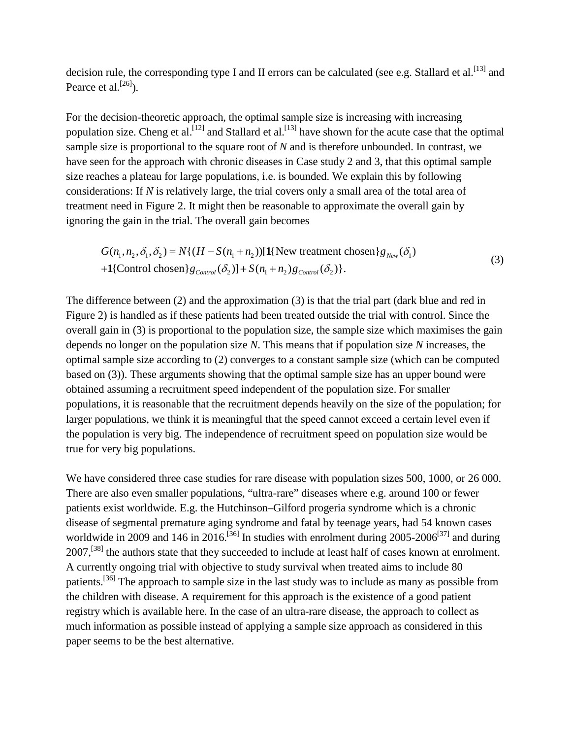decision rule, the corresponding type I and II errors can be calculated (see e.g. Stallard et al. [13] and Pearce et al. $^{[26]}$ ).

For the decision-theoretic approach, the optimal sample size is increasing with increasing population size. Cheng et al.<sup>[12]</sup> and Stallard et al.<sup>[13]</sup> have shown for the acute case that the optimal sample size is proportional to the square root of *N* and is therefore unbounded. In contrast, we have seen for the approach with chronic diseases in Case study 2 and 3, that this optimal sample size reaches a plateau for large populations, i.e. is bounded. We explain this by following considerations: If *N* is relatively large, the trial covers only a small area of the total area of treatment need in [Figure 2.](#page-22-1) It might then be reasonable to approximate the overall gain by ignoring the gain in the trial. The overall gain becomes

$$
G(n_1, n_2, \delta_1, \delta_2) = N\{(H - S(n_1 + n_2))[\mathbf{1}\{\text{New treatment chosen}\}\mathbf{g}_{\text{New}}(\delta_1) + \mathbf{1}\{\text{Control chosen}\}\mathbf{g}_{\text{Control}}(\delta_2)] + S(n_1 + n_2)g_{\text{Control}}(\delta_2)\}.
$$
\n(3)

The difference between (2) and the approximation (3) is that the trial part (dark blue and red in [Figure 2\)](#page-22-1) is handled as if these patients had been treated outside the trial with control. Since the overall gain in (3) is proportional to the population size, the sample size which maximises the gain depends no longer on the population size *N*. This means that if population size *N* increases, the optimal sample size according to (2) converges to a constant sample size (which can be computed based on (3)). These arguments showing that the optimal sample size has an upper bound were obtained assuming a recruitment speed independent of the population size. For smaller populations, it is reasonable that the recruitment depends heavily on the size of the population; for larger populations, we think it is meaningful that the speed cannot exceed a certain level even if the population is very big. The independence of recruitment speed on population size would be true for very big populations.

We have considered three case studies for rare disease with population sizes 500, 1000, or 26 000. There are also even smaller populations, "ultra-rare" diseases where e.g. around 100 or fewer patients exist worldwide. E.g. the Hutchinson–Gilford progeria syndrome which is a chronic disease of segmental premature aging syndrome and fatal by teenage years, had 54 known cases worldwide in 2009 and 146 in 2016.<sup>[36]</sup> In studies with enrolment during  $2005-2006^{[37]}$  and during 2007,<sup>[38]</sup> the authors state that they succeeded to include at least half of cases known at enrolment. A currently ongoing trial with objective to study survival when treated aims to include 80 patients.<sup>[36]</sup> The approach to sample size in the last study was to include as many as possible from the children with disease. A requirement for this approach is the existence of a good patient registry which is available here. In the case of an ultra-rare disease, the approach to collect as much information as possible instead of applying a sample size approach as considered in this paper seems to be the best alternative.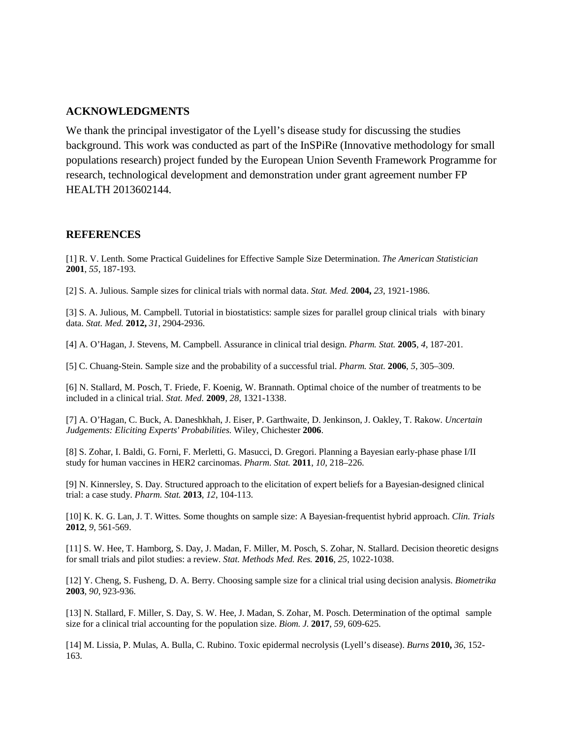#### **ACKNOWLEDGMENTS**

We thank the principal investigator of the Lyell's disease study for discussing the studies background. This work was conducted as part of the InSPiRe (Innovative methodology for small populations research) project funded by the European Union Seventh Framework Programme for research, technological development and demonstration under grant agreement number FP HEALTH 2013602144.

#### **REFERENCES**

[1] R. V. Lenth. Some Practical Guidelines for Effective Sample Size Determination. *The American Statistician* **2001**, *55*, 187-193.

[2] S. A. Julious. Sample sizes for clinical trials with normal data. *Stat. Med.* **2004,** *23*, 1921-1986.

[3] S. A. Julious, M. Campbell. Tutorial in biostatistics: sample sizes for parallel group clinical trials with binary data. *Stat. Med.* **2012,** *31*, 2904-2936.

[4] A. O'Hagan, J. Stevens, M. Campbell. Assurance in clinical trial design. *Pharm. Stat.* **2005**, *4*, 187-201.

[5] C. Chuang-Stein. Sample size and the probability of a successful trial. *Pharm. Stat.* **2006**, *5*, 305–309.

[6] N. Stallard, M. Posch, T. Friede, F. Koenig, W. Brannath. Optimal choice of the number of treatments to be included in a clinical trial. *Stat. Med.* **2009**, *28*, 1321-1338.

[7] A. O'Hagan, C. Buck, A. Daneshkhah, J. Eiser, P. Garthwaite, D. Jenkinson, J. Oakley, T. Rakow. *Uncertain Judgements: Eliciting Experts' Probabilities.* Wiley, Chichester **2006**.

[8] S. Zohar, I. Baldi, G. Forni, F. Merletti, G. Masucci, D. Gregori. Planning a Bayesian early-phase phase I/II study for human vaccines in HER2 carcinomas. *Pharm. Stat.* **2011**, *10*, 218–226.

[9] N. Kinnersley, S. Day. Structured approach to the elicitation of expert beliefs for a Bayesian-designed clinical trial: a case study. *Pharm. Stat.* **2013**, *12*, 104-113.

[10] K. K. G. Lan, J. T. Wittes. Some thoughts on sample size: A Bayesian-frequentist hybrid approach. *Clin. Trials* **2012**, *9*, 561-569.

[11] S. W. Hee, T. Hamborg, S. Day, J. Madan, F. Miller, M. Posch, S. Zohar, N. Stallard. Decision theoretic designs for small trials and pilot studies: a review. *Stat. Methods Med. Res.* **2016**, *25*, 1022-1038.

[12] Y. Cheng, S. Fusheng, D. A. Berry. Choosing sample size for a clinical trial using decision analysis. *Biometrika* **2003**, *90*, 923-936.

[13] N. Stallard, F. Miller, S. Day, S. W. Hee, J. Madan, S. Zohar, M. Posch. Determination of the optimal sample size for a clinical trial accounting for the population size. *Biom. J.* **2017**, *59*, 609-625.

[14] M. Lissia, P. Mulas, A. Bulla, C. Rubino. Toxic epidermal necrolysis (Lyell's disease). *Burns* **2010,** *36*, 152- 163.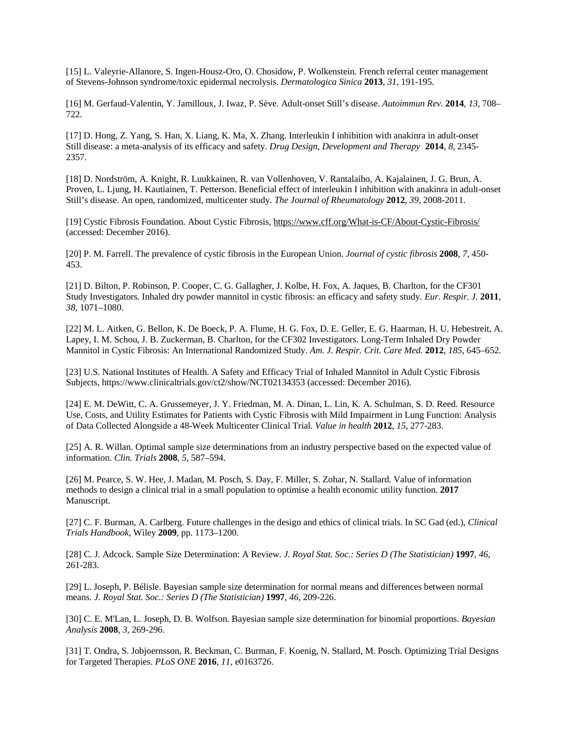[15] L. Valeyrie-Allanore, S. Ingen-Housz-Oro, O. Chosidow, P. Wolkenstein. French referral center management of Stevens-Johnson syndrome/toxic epidermal necrolysis. *Dermatologica Sinica* **2013**, *31*, 191-195.

[16] M. Gerfaud-Valentin, Y. Jamilloux, J. Iwaz, P. Sève. Adult-onset Still's disease. *Autoimmun Rev.* **2014**, *13*, 708– 722.

[17] D. Hong, Z. Yang, S. Han, X. Liang, K. Ma, X. Zhang. Interleukin I inhibition with anakinra in adult-onset Still disease: a meta-analysis of its efficacy and safety. *Drug Design, Development and Therapy* **2014**, *8*, 2345- 2357.

[18] D. Nordström, A. Knight, R. Luukkainen, R. van Vollenhoven, V. Rantalaiho, A. Kajalainen, J. G. Brun, A. Proven, L. Ljung, H. Kautiainen, T. Petterson. Beneficial effect of interleukin I inhibition with anakinra in adult-onset Still's disease. An open, randomized, multicenter study. *The Journal of Rheumatology* **2012**, *39*, 2008-2011.

[19] Cystic Fibrosis Foundation. About Cystic Fibrosis,<https://www.cff.org/What-is-CF/About-Cystic-Fibrosis/> (accessed: December 2016).

[20] P. M. Farrell. The prevalence of cystic fibrosis in the European Union. *Journal of cystic fibrosis* **2008**, *7*, 450- 453.

[21] D. Bilton, P. Robinson, P. Cooper, C. G. Gallagher, J. Kolbe, H. Fox, A. Jaques, B. Charlton, for the CF301 Study Investigators. Inhaled dry powder mannitol in cystic fibrosis: an efficacy and safety study. *Eur. Respir. J.* **2011**, *38*, 1071–1080.

[22] M. L. Aitken, G. Bellon, K. De Boeck, P. A. Flume, H. G. Fox, D. E. Geller, E. G. Haarman, H. U. Hebestreit, A. Lapey, I. M. Schou, J. B. Zuckerman, B. Charlton, for the CF302 Investigators. Long-Term Inhaled Dry Powder Mannitol in Cystic Fibrosis: An International Randomized Study. *Am. J. Respir. Crit. Care Med.* **2012**, *185*, 645–652.

[23] U.S. National Institutes of Health. A Safety and Efficacy Trial of Inhaled Mannitol in Adult Cystic Fibrosis Subjects, https://www.clinicaltrials.gov/ct2/show/NCT02134353 (accessed: December 2016).

[24] E. M. DeWitt, C. A. Grussemeyer, J. Y. Friedman, M. A. Dinan, L. Lin, K. A. Schulman, S. D. Reed. Resource Use, Costs, and Utility Estimates for Patients with Cystic Fibrosis with Mild Impairment in Lung Function: Analysis of Data Collected Alongside a 48-Week Multicenter Clinical Trial. *Value in health* **2012**, *15*, 277-283.

[25] A. R. Willan. Optimal sample size determinations from an industry perspective based on the expected value of information. *Clin. Trials* **2008**, *5*, 587–594.

[26] M. Pearce, S. W. Hee, J. Madan, M. Posch, S. Day, F. Miller, S. Zohar, N. Stallard. Value of information methods to design a clinical trial in a small population to optimise a health economic utility function. **2017** Manuscript.

[27] C. F. Burman, A. Carlberg. Future challenges in the design and ethics of clinical trials. In SC Gad (ed.), *Clinical Trials Handbook*, Wiley **2009**, pp. 1173–1200.

[28] C. J. Adcock. Sample Size Determination: A Review. *J. Royal Stat. Soc.: Series D (The Statistician)* **1997**, *46*, 261-283.

[29] L. Joseph, P. Bélisle. Bayesian sample size determination for normal means and differences between normal means. *J. Royal Stat. Soc.: Series D (The Statistician)* **1997**, *46*, 209-226.

[30] C. E. M'Lan, L. Joseph, D. B. Wolfson. Bayesian sample size determination for binomial proportions. *Bayesian Analysis* **2008**, *3*, 269-296.

[31] T. Ondra, S. Jobjoernsson, R. Beckman, C. Burman, F. Koenig, N. Stallard, M. Posch. Optimizing Trial Designs for Targeted Therapies. *PLoS ONE* **2016**, *11*, e0163726.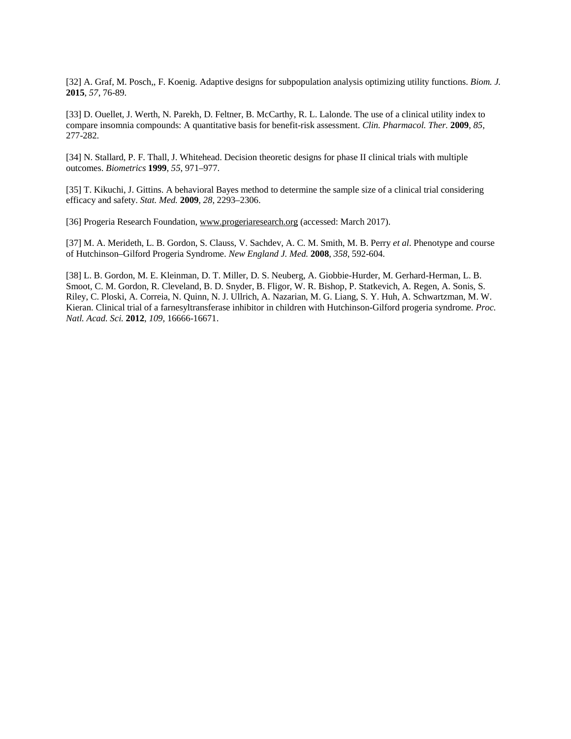[32] A. Graf, M. Posch,, F. Koenig. Adaptive designs for subpopulation analysis optimizing utility functions. *Biom. J.* **2015**, *57*, 76-89.

[33] D. Ouellet, J. Werth, N. Parekh, D. Feltner, B. McCarthy, R. L. Lalonde. The use of a clinical utility index to compare insomnia compounds: A quantitative basis for benefit-risk assessment. *Clin. Pharmacol. Ther.* **2009**, *85*, 277-282.

[34] N. Stallard, P. F. Thall, J. Whitehead. Decision theoretic designs for phase II clinical trials with multiple outcomes. *Biometrics* **1999**, *55*, 971–977.

[35] T. Kikuchi, J. Gittins. A behavioral Bayes method to determine the sample size of a clinical trial considering efficacy and safety. *Stat. Med.* **2009**, *28*, 2293–2306.

[36] Progeria Research Foundation, [www.progeriaresearch.org](http://www.progeriaresearch.org/) (accessed: March 2017).

[37] M. A. Merideth, L. B. Gordon, S. Clauss, V. Sachdev, A. C. M. Smith, M. B. Perry *et al*. Phenotype and course of Hutchinson–Gilford Progeria Syndrome. *New England J. Med.* **2008**, *358*, 592-604.

[38] L. B. Gordon, M. E. Kleinman, D. T. Miller, D. S. Neuberg, A. Giobbie-Hurder, M. Gerhard-Herman, L. B. Smoot, C. M. Gordon, R. Cleveland, B. D. Snyder, B. Fligor, W. R. Bishop, P. Statkevich, A. Regen, A. Sonis, S. Riley, C. Ploski, A. Correia, N. Quinn, N. J. Ullrich, A. Nazarian, M. G. Liang, S. Y. Huh, A. Schwartzman, M. W. Kieran. Clinical trial of a farnesyltransferase inhibitor in children with Hutchinson-Gilford progeria syndrome*. Proc. Natl. Acad. Sci.* **2012**, *109*, 16666-16671.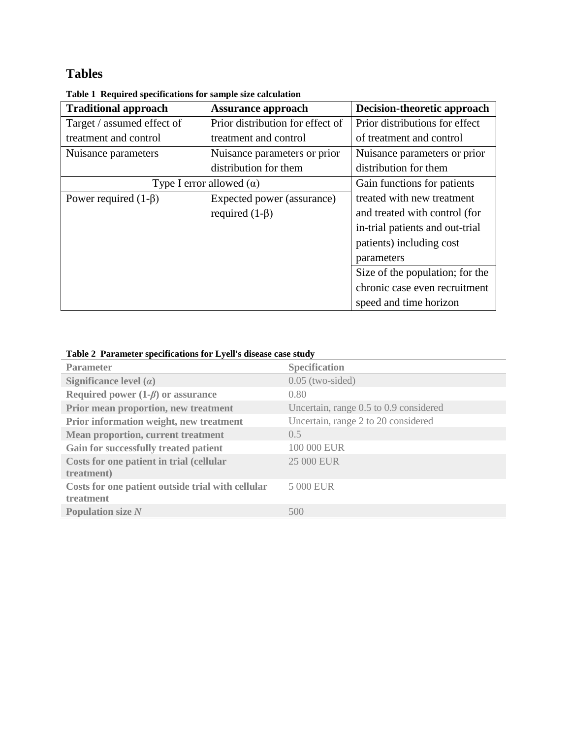# **Tables**

| <b>Traditional approach</b> | <b>Assurance approach</b>        | Decision-theoretic approach     |
|-----------------------------|----------------------------------|---------------------------------|
| Target / assumed effect of  | Prior distribution for effect of | Prior distributions for effect  |
| treatment and control       | treatment and control            | of treatment and control        |
| Nuisance parameters         | Nuisance parameters or prior     | Nuisance parameters or prior    |
|                             | distribution for them            | distribution for them           |
|                             | Type I error allowed $(\alpha)$  | Gain functions for patients     |
| Power required $(1-\beta)$  | Expected power (assurance)       | treated with new treatment      |
|                             | required $(1-\beta)$             | and treated with control (for   |
|                             |                                  | in-trial patients and out-trial |
|                             |                                  | patients) including cost        |
|                             |                                  | parameters                      |
|                             |                                  | Size of the population; for the |
|                             |                                  | chronic case even recruitment   |
|                             |                                  | speed and time horizon          |

**Table 1 Required specifications for sample size calculation**

### <span id="page-20-0"></span>**Table 2 Parameter specifications for Lyell's disease case study**

| <b>Parameter</b>                                               | <b>Specification</b>                   |
|----------------------------------------------------------------|----------------------------------------|
| Significance level $(\alpha)$                                  | $0.05$ (two-sided)                     |
| Required power $(1-\beta)$ or assurance                        | 0.80                                   |
| Prior mean proportion, new treatment                           | Uncertain, range 0.5 to 0.9 considered |
| Prior information weight, new treatment                        | Uncertain, range 2 to 20 considered    |
| <b>Mean proportion, current treatment</b>                      | 0.5                                    |
| Gain for successfully treated patient                          | 100 000 EUR                            |
| Costs for one patient in trial (cellular<br>treatment)         | 25 000 EUR                             |
| Costs for one patient outside trial with cellular<br>treatment | 5 000 EUR                              |
| <b>Population size N</b>                                       | 500                                    |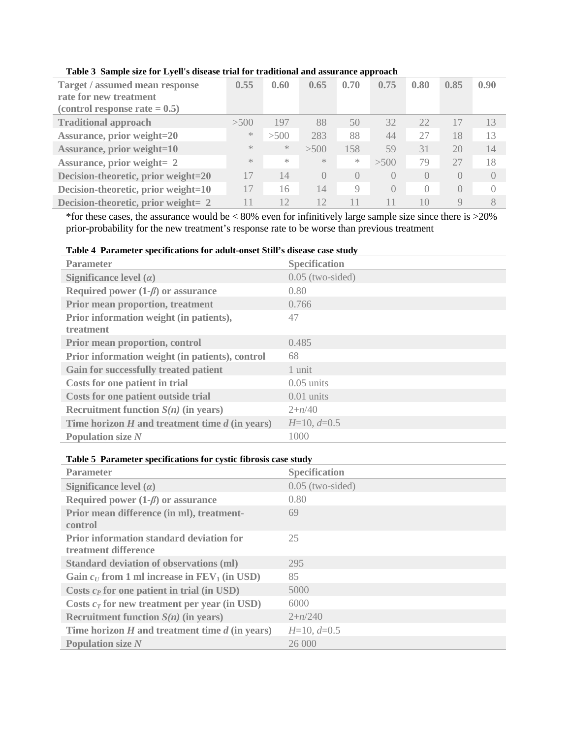| <b>Target / assumed mean response</b><br>rate for new treatment<br>(control response rate $= 0.5$ ) | 0.55          | 0.60      | 0.65             | 0.70             | . .<br>0.75      | 0.80             | 0.85             | 0.90      |
|-----------------------------------------------------------------------------------------------------|---------------|-----------|------------------|------------------|------------------|------------------|------------------|-----------|
| <b>Traditional approach</b>                                                                         | >500          | 197       | 88               | 50               | 32               | 22.              | 17               | 13        |
| <b>Assurance, prior weight=20</b>                                                                   | $\gg$         | >500      | 283              | 88               | 44               | 27               | 18               | 13        |
| <b>Assurance, prior weight=10</b>                                                                   | $\frac{1}{2}$ | $\gtrsim$ | >500             | 158              | 59               | 31               | 20               | 14        |
| <b>Assurance, prior weight= 2</b>                                                                   | $\gg$         | $\gg$     | $\frac{1}{2}$    | $\ast$           | >500             | 79               | 27               | 18        |
| Decision-theoretic, prior weight=20                                                                 | 17            | 14        | $\left( \right)$ | $\left( \right)$ | $\left( \right)$ | $\left( \right)$ | $\left( \right)$ | $\bigcap$ |
| Decision-theoretic, prior weight=10                                                                 | 17            | 16        | 14               | 9                | $\left( \right)$ | $\bigcap$        | $\Omega$         | $\bigcap$ |
| Decision-theoretic, prior weight= 2                                                                 | 11            | 12        | 12               |                  |                  | 10               |                  | 8         |

#### <span id="page-21-0"></span>**Table 3 Sample size for Lyell's disease trial for traditional and assurance approach**

\*for these cases, the assurance would be < 80% even for infinitively large sample size since there is >20% prior-probability for the new treatment's response rate to be worse than previous treatment

#### <span id="page-21-1"></span>**Table 4 Parameter specifications for adult-onset Still's disease case study**

| <b>Parameter</b>                                     | <b>Specification</b> |
|------------------------------------------------------|----------------------|
| Significance level $(\alpha)$                        | $0.05$ (two-sided)   |
| Required power $(1-\beta)$ or assurance              | 0.80                 |
| <b>Prior mean proportion, treatment</b>              | 0.766                |
| Prior information weight (in patients),<br>treatment | 47                   |
| Prior mean proportion, control                       | 0.485                |
| Prior information weight (in patients), control      | 68                   |
| <b>Gain for successfully treated patient</b>         | 1 unit               |
| Costs for one patient in trial                       | $0.05$ units         |
| Costs for one patient outside trial                  | $0.01$ units         |
| Recruitment function $S(n)$ (in years)               | $2+n/40$             |
| Time horizon $H$ and treatment time $d$ (in years)   | $H=10, d=0.5$        |
| <b>Population size N</b>                             | 1000                 |

#### **Table 5 Parameter specifications for cystic fibrosis case study**

| <b>Parameter</b>                                                        | <b>Specification</b> |
|-------------------------------------------------------------------------|----------------------|
| Significance level $(\alpha)$                                           | $0.05$ (two-sided)   |
| Required power $(1-\beta)$ or assurance                                 | 0.80                 |
| Prior mean difference (in ml), treatment-<br>control                    | 69                   |
| <b>Prior information standard deviation for</b><br>treatment difference | 25                   |
| <b>Standard deviation of observations (ml)</b>                          | 295                  |
| Gain $c_U$ from 1 ml increase in $FEV_1$ (in USD)                       | 85                   |
| Costs $c_P$ for one patient in trial (in USD)                           | 5000                 |
| Costs $c_T$ for new treatment per year (in USD)                         | 6000                 |
| Recruitment function $S(n)$ (in years)                                  | $2+n/240$            |
| Time horizon $H$ and treatment time $d$ (in years)                      | $H=10, d=0.5$        |
| <b>Population size N</b>                                                | 26 000               |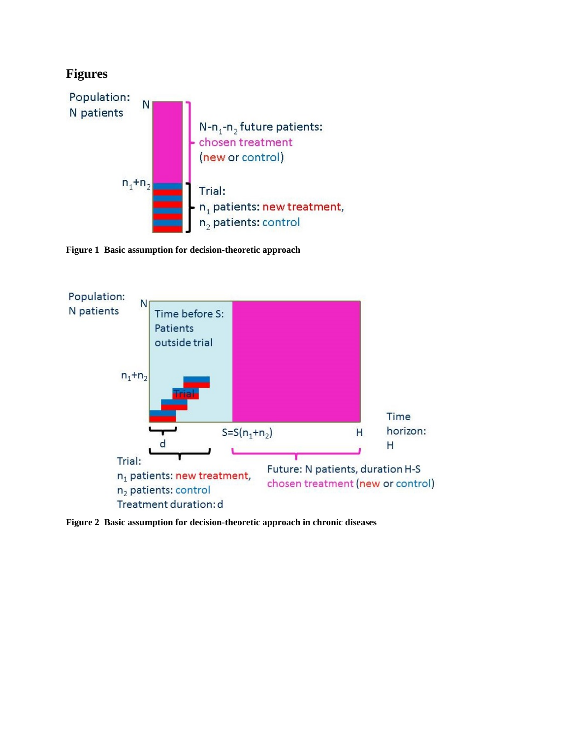

<span id="page-22-0"></span>**Figure 1 Basic assumption for decision-theoretic approach**



<span id="page-22-1"></span>**Figure 2 Basic assumption for decision-theoretic approach in chronic diseases**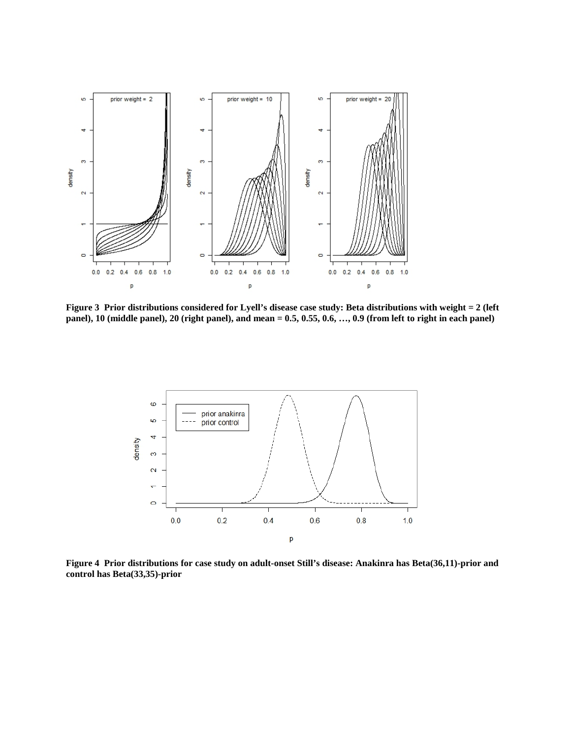

<span id="page-23-0"></span>**Figure 3 Prior distributions considered for Lyell's disease case study: Beta distributions with weight = 2 (left panel), 10 (middle panel), 20 (right panel), and mean = 0.5, 0.55, 0.6, …, 0.9 (from left to right in each panel)**



<span id="page-23-1"></span>**Figure 4 Prior distributions for case study on adult-onset Still's disease: Anakinra has Beta(36,11)-prior and control has Beta(33,35)-prior**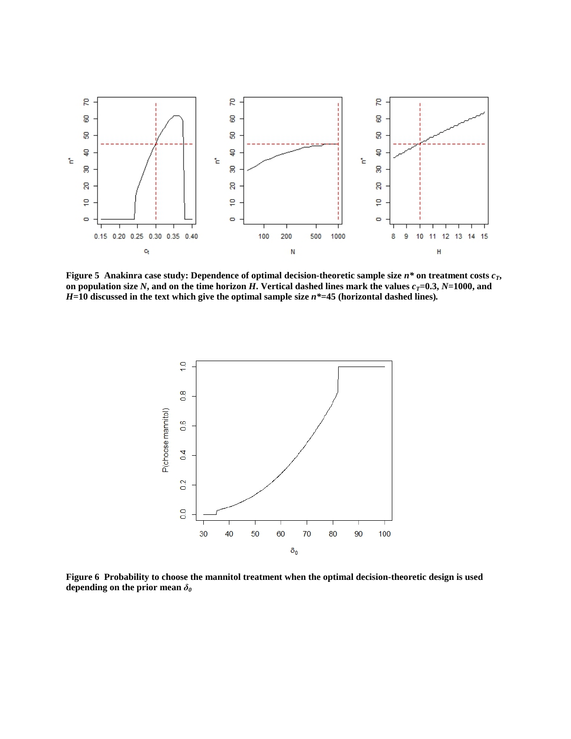

<span id="page-24-0"></span>**Figure 5 Anakinra case study: Dependence of optimal decision-theoretic sample size**  $n^*$  **on treatment costs**  $c_T$ **,** on population size N, and on the time horizon *H*. Vertical dashed lines mark the values  $c_T = 0.3$ ,  $N = 1000$ , and *H***=10 discussed in the text which give the optimal sample size** *n\****=45 (horizontal dashed lines)***.*



<span id="page-24-1"></span>**Figure 6 Probability to choose the mannitol treatment when the optimal decision-theoretic design is used depending on the prior mean** *δ0*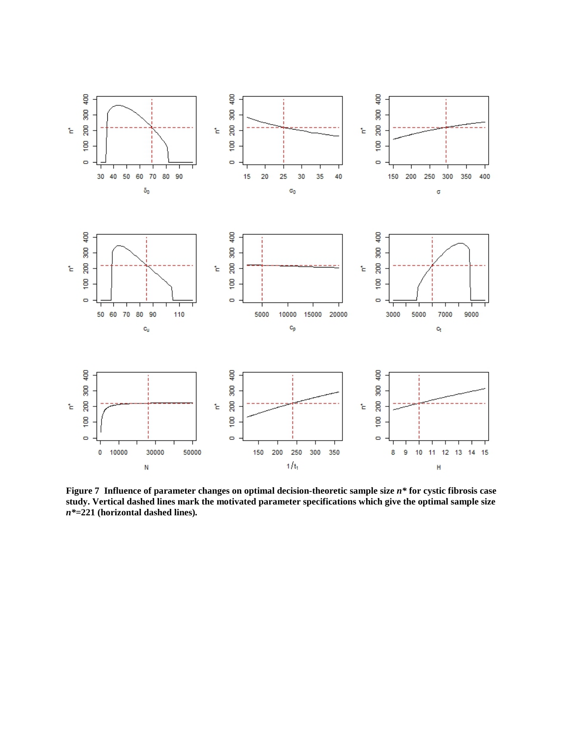

<span id="page-25-0"></span>**Figure 7 Influence of parameter changes on optimal decision-theoretic sample size** *n\** **for cystic fibrosis case study. Vertical dashed lines mark the motivated parameter specifications which give the optimal sample size**  *n\****=221 (horizontal dashed lines)***.*